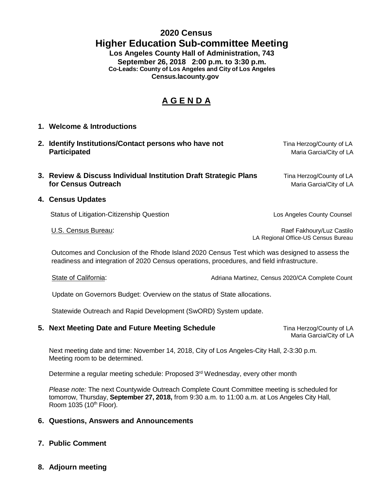## **2020 Census Higher Education Sub-committee Meeting Los Angeles County Hall of Administration, 743**

**September 26, 2018 2:00 p.m. to 3:30 p.m. Co-Leads: County of Los Angeles and City of Los Angeles Census.lacounty.gov**

# **A G E N D A**

- **1. Welcome & Introductions**
- **2. Identify Institutions/Contact persons who have not** Tina Herzog/County of LA<br>Maria Garcia/City of LA **Maria Garcia/City of LA**
- **3. Review & Discuss Individual Institution Draft Strategic Plans Tina Herzog/County of LA for Census Outreach** *Census* Outreach *Census* Outreach *A*
- **4. Census Updates**

Status of Litigation-Citizenship Question Los Angeles County Counsel

U.S. Census Bureau:  $\Box$ LA Regional Office-US Census Bureau

 Outcomes and Conclusion of the Rhode Island 2020 Census Test which was designed to assess the readiness and integration of 2020 Census operations, procedures, and field infrastructure.

State of California: Adriana Martinez, Census 2020/CA Complete Count

Update on Governors Budget: Overview on the status of State allocations.

Statewide Outreach and Rapid Development (SwORD) System update.

### **5. Next Meeting Date and Future Meeting Schedule Time Herzog/County of LA**

Maria Garcia/City of LA

Next meeting date and time: November 14, 2018, City of Los Angeles-City Hall, 2-3:30 p.m. Meeting room to be determined.

Determine a regular meeting schedule: Proposed 3<sup>rd</sup> Wednesday, every other month

*Please note:* The next Countywide Outreach Complete Count Committee meeting is scheduled for tomorrow, Thursday, **September 27, 2018,** from 9:30 a.m. to 11:00 a.m. at Los Angeles City Hall, Room  $1035$  ( $10<sup>th</sup>$  Floor).

#### **6. Questions, Answers and Announcements**

**7. Public Comment** 

### **8. Adjourn meeting**